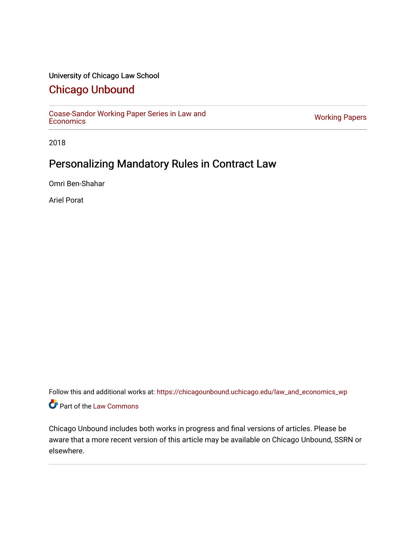# University of Chicago Law School

# [Chicago Unbound](https://chicagounbound.uchicago.edu/)

[Coase-Sandor Working Paper Series in Law and](https://chicagounbound.uchicago.edu/law_and_economics_wp) [Economics](https://chicagounbound.uchicago.edu/law_and_economics_wp) [Working Papers](https://chicagounbound.uchicago.edu/working_papers) 

2018

# Personalizing Mandatory Rules in Contract Law

Omri Ben-Shahar

Ariel Porat

Follow this and additional works at: [https://chicagounbound.uchicago.edu/law\\_and\\_economics\\_wp](https://chicagounbound.uchicago.edu/law_and_economics_wp?utm_source=chicagounbound.uchicago.edu%2Flaw_and_economics_wp%2F78&utm_medium=PDF&utm_campaign=PDFCoverPages)  Part of the [Law Commons](http://network.bepress.com/hgg/discipline/578?utm_source=chicagounbound.uchicago.edu%2Flaw_and_economics_wp%2F78&utm_medium=PDF&utm_campaign=PDFCoverPages)

Chicago Unbound includes both works in progress and final versions of articles. Please be aware that a more recent version of this article may be available on Chicago Unbound, SSRN or elsewhere.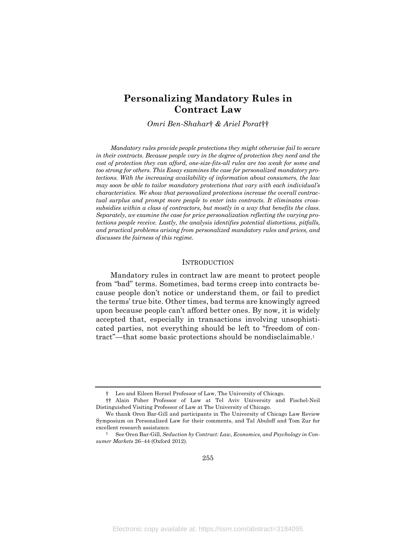# **Personalizing Mandatory Rules in Contract Law**

*Omri Ben-Shahar*† *& Ariel Porat*††

*Mandatory rules provide people protections they might otherwise fail to secure in their contracts. Because people vary in the degree of protection they need and the cost of protection they can afford, one-size-fits-all rules are too weak for some and too strong for others. This Essay examines the case for personalized mandatory protections. With the increasing availability of information about consumers, the law may soon be able to tailor mandatory protections that vary with each individual's characteristics. We show that personalized protections increase the overall contractual surplus and prompt more people to enter into contracts. It eliminates crosssubsidies within a class of contractors, but mostly in a way that benefits the class. Separately, we examine the case for price personalization reflecting the varying protections people receive. Lastly, the analysis identifies potential distortions, pitfalls, and practical problems arising from personalized mandatory rules and prices, and discusses the fairness of this regime.*

### INTRODUCTION

Mandatory rules in contract law are meant to protect people from "bad" terms. Sometimes, bad terms creep into contracts because people don't notice or understand them, or fail to predict the terms' true bite. Other times, bad terms are knowingly agreed upon because people can't afford better ones. By now, it is widely accepted that, especially in transactions involving unsophisticated parties, not everything should be left to "freedom of contract"—that some basic protections should be nondisclaimable.1

<sup>†</sup> Leo and Eileen Herzel Professor of Law, The University of Chicago.

<sup>††</sup> Alain Poher Professor of Law at Tel Aviv University and Fischel-Neil Distinguished Visiting Professor of Law at The University of Chicago.

We thank Oren Bar-Gill and participants in The University of Chicago Law Review Symposium on Personalized Law for their comments, and Tal Abuloff and Tom Zur for excellent research assistance.

<sup>1</sup> See Oren Bar-Gill, *Seduction by Contract: Law, Economics, and Psychology in Consumer Markets* 26–44 (Oxford 2012).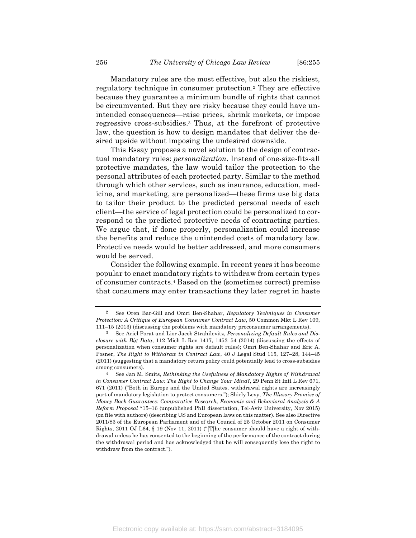Mandatory rules are the most effective, but also the riskiest, regulatory technique in consumer protection.2 They are effective because they guarantee a minimum bundle of rights that cannot be circumvented. But they are risky because they could have unintended consequences—raise prices, shrink markets, or impose regressive cross-subsidies.3 Thus, at the forefront of protective law, the question is how to design mandates that deliver the desired upside without imposing the undesired downside.

This Essay proposes a novel solution to the design of contractual mandatory rules: *personalization*. Instead of one-size-fits-all protective mandates, the law would tailor the protection to the personal attributes of each protected party. Similar to the method through which other services, such as insurance, education, medicine, and marketing, are personalized—these firms use big data to tailor their product to the predicted personal needs of each client—the service of legal protection could be personalized to correspond to the predicted protective needs of contracting parties. We argue that, if done properly, personalization could increase the benefits and reduce the unintended costs of mandatory law. Protective needs would be better addressed, and more consumers would be served.

Consider the following example. In recent years it has become popular to enact mandatory rights to withdraw from certain types of consumer contracts.4 Based on the (sometimes correct) premise that consumers may enter transactions they later regret in haste

<sup>2</sup> See Oren Bar-Gill and Omri Ben-Shahar, *Regulatory Techniques in Consumer Protection: A Critique of European Consumer Contract Law*, 50 Common Mkt L Rev 109, 111–15 (2013) (discussing the problems with mandatory proconsumer arrangements).

<sup>3</sup> See Ariel Porat and Lior Jacob Strahilevitz, *Personalizing Default Rules and Disclosure with Big Data*, 112 Mich L Rev 1417, 1453–54 (2014) (discussing the effects of personalization when consumer rights are default rules); Omri Ben-Shahar and Eric A. Posner, *The Right to Withdraw in Contract Law*, 40 J Legal Stud 115, 127–28, 144–45 (2011) (suggesting that a mandatory return policy could potentially lead to cross-subsidies among consumers).

<sup>4</sup> See Jan M. Smits, *Rethinking the Usefulness of Mandatory Rights of Withdrawal in Consumer Contract Law: The Right to Change Your Mind?*, 29 Penn St Intl L Rev 671, 671 (2011) ("Both in Europe and the United States, withdrawal rights are increasingly part of mandatory legislation to protect consumers."); Shirly Levy, *The Illusory Promise of Money Back Guarantees: Comparative Research, Economic and Behavioral Analysis & A Reform Proposal* \*15–16 (unpublished PhD dissertation, Tel-Aviv University, Nov 2015) (on file with authors) (describing US and European laws on this matter). See also Directive 2011/83 of the European Parliament and of the Council of 25 October 2011 on Consumer Rights, 2011 OJ L64,  $\S$  19 (Nov 11, 2011) ("The consumer should have a right of withdrawal unless he has consented to the beginning of the performance of the contract during the withdrawal period and has acknowledged that he will consequently lose the right to withdraw from the contract.").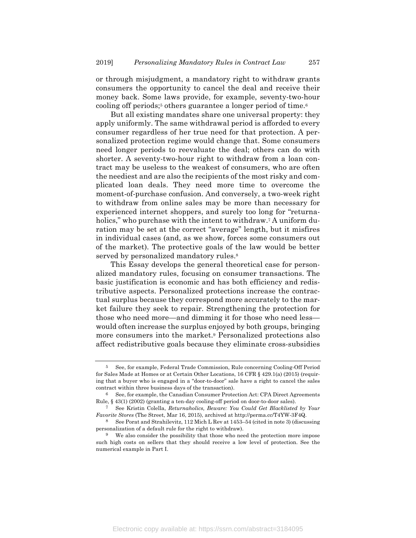or through misjudgment, a mandatory right to withdraw grants consumers the opportunity to cancel the deal and receive their money back. Some laws provide, for example, seventy-two-hour cooling off periods;<sup>5</sup> others guarantee a longer period of time.<sup>6</sup>

But all existing mandates share one universal property: they apply uniformly. The same withdrawal period is afforded to every consumer regardless of her true need for that protection. A personalized protection regime would change that. Some consumers need longer periods to reevaluate the deal; others can do with shorter. A seventy-two-hour right to withdraw from a loan contract may be useless to the weakest of consumers, who are often the neediest and are also the recipients of the most risky and complicated loan deals. They need more time to overcome the moment-of-purchase confusion. And conversely, a two-week right to withdraw from online sales may be more than necessary for experienced internet shoppers, and surely too long for "returnaholics," who purchase with the intent to withdraw.<sup>7</sup> A uniform duration may be set at the correct "average" length, but it misfires in individual cases (and, as we show, forces some consumers out of the market). The protective goals of the law would be better served by personalized mandatory rules.<sup>8</sup>

This Essay develops the general theoretical case for personalized mandatory rules, focusing on consumer transactions. The basic justification is economic and has both efficiency and redistributive aspects. Personalized protections increase the contractual surplus because they correspond more accurately to the market failure they seek to repair. Strengthening the protection for those who need more—and dimming it for those who need less would often increase the surplus enjoyed by both groups, bringing more consumers into the market.9 Personalized protections also affect redistributive goals because they eliminate cross-subsidies

Electronic copy available at: https://ssrn.com/abstract=3184095

<sup>5</sup> See, for example, Federal Trade Commission, Rule concerning Cooling-Off Period for Sales Made at Homes or at Certain Other Locations, 16 CFR § 429.1(a) (2015) (requiring that a buyer who is engaged in a "door-to-door" sale have a right to cancel the sales contract within three business days of the transaction).

<sup>6</sup> See, for example, the Canadian Consumer Protection Act: CPA Direct Agreements Rule, § 43(1) (2002) (granting a ten-day cooling-off period on door-to-door sales).

<sup>7</sup> See Kristin Colella, *Returnaholics, Beware: You Could Get Blacklisted by Your Favorite Stores* (The Street, Mar 16, 2015), archived at http://perma.cc/T4YW-3F4Q.

<sup>8</sup> See Porat and Strahilevitz, 112 Mich L Rev at 1453–54 (cited in note 3) (discussing personalization of a default rule for the right to withdraw).

<sup>&</sup>lt;sup>9</sup> We also consider the possibility that those who need the protection more impose such high costs on sellers that they should receive a low level of protection. See the numerical example in Part I.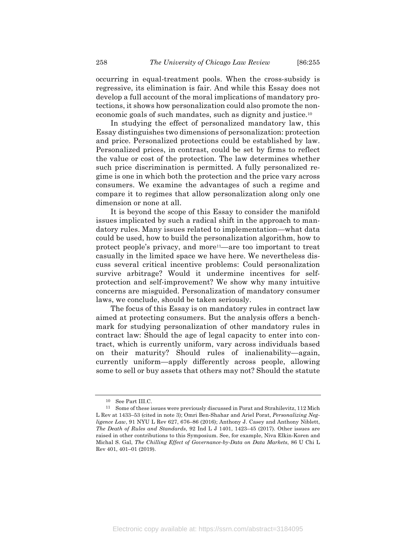occurring in equal-treatment pools. When the cross-subsidy is regressive, its elimination is fair. And while this Essay does not develop a full account of the moral implications of mandatory protections, it shows how personalization could also promote the noneconomic goals of such mandates, such as dignity and justice.10

In studying the effect of personalized mandatory law, this Essay distinguishes two dimensions of personalization: protection and price. Personalized protections could be established by law. Personalized prices, in contrast, could be set by firms to reflect the value or cost of the protection. The law determines whether such price discrimination is permitted. A fully personalized regime is one in which both the protection and the price vary across consumers. We examine the advantages of such a regime and compare it to regimes that allow personalization along only one dimension or none at all.

It is beyond the scope of this Essay to consider the manifold issues implicated by such a radical shift in the approach to mandatory rules. Many issues related to implementation—what data could be used, how to build the personalization algorithm, how to protect people's privacy, and more<sup>11</sup>—are too important to treat casually in the limited space we have here. We nevertheless discuss several critical incentive problems: Could personalization survive arbitrage? Would it undermine incentives for selfprotection and self-improvement? We show why many intuitive concerns are misguided. Personalization of mandatory consumer laws, we conclude, should be taken seriously.

The focus of this Essay is on mandatory rules in contract law aimed at protecting consumers. But the analysis offers a benchmark for studying personalization of other mandatory rules in contract law: Should the age of legal capacity to enter into contract, which is currently uniform, vary across individuals based on their maturity? Should rules of inalienability—again, currently uniform—apply differently across people, allowing some to sell or buy assets that others may not? Should the statute

<sup>10</sup> See Part III.C.

 $^{11}$  Some of these issues were previously discussed in Porat and Strahilevitz,  $112$  Mich  $\,$ L Rev at 1433–53 (cited in note 3); Omri Ben-Shahar and Ariel Porat, *Personalizing Negligence Law*, 91 NYU L Rev 627, 676–86 (2016); Anthony J. Casey and Anthony Niblett, *The Death of Rules and Standards*, 92 Ind L J 1401, 1423–45 (2017). Other issues are raised in other contributions to this Symposium. See, for example, Niva Elkin-Koren and Michal S. Gal, *The Chilling Effect of Governance-by-Data on Data Markets*, 86 U Chi L Rev 401, 401–01 (2019).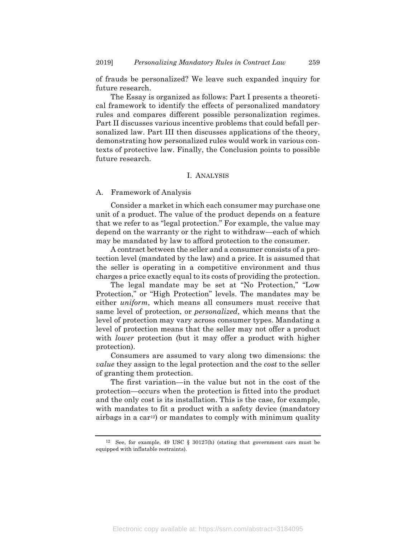of frauds be personalized? We leave such expanded inquiry for future research.

The Essay is organized as follows: Part I presents a theoretical framework to identify the effects of personalized mandatory rules and compares different possible personalization regimes. Part II discusses various incentive problems that could befall personalized law. Part III then discusses applications of the theory, demonstrating how personalized rules would work in various contexts of protective law. Finally, the Conclusion points to possible future research.

# I. ANALYSIS

#### A. Framework of Analysis

Consider a market in which each consumer may purchase one unit of a product. The value of the product depends on a feature that we refer to as "legal protection." For example, the value may depend on the warranty or the right to withdraw—each of which may be mandated by law to afford protection to the consumer.

A contract between the seller and a consumer consists of a protection level (mandated by the law) and a price. It is assumed that the seller is operating in a competitive environment and thus charges a price exactly equal to its costs of providing the protection.

The legal mandate may be set at "No Protection," "Low Protection," or "High Protection" levels. The mandates may be either *uniform*, which means all consumers must receive that same level of protection, or *personalized*, which means that the level of protection may vary across consumer types. Mandating a level of protection means that the seller may not offer a product with *lower* protection (but it may offer a product with higher protection).

Consumers are assumed to vary along two dimensions: the *value* they assign to the legal protection and the *cost* to the seller of granting them protection.

The first variation—in the value but not in the cost of the protection—occurs when the protection is fitted into the product and the only cost is its installation. This is the case, for example, with mandates to fit a product with a safety device (mandatory airbags in a car<sup>12</sup>) or mandates to comply with minimum quality

<sup>12</sup> See, for example, 49 USC § 30127(h) (stating that government cars must be equipped with inflatable restraints).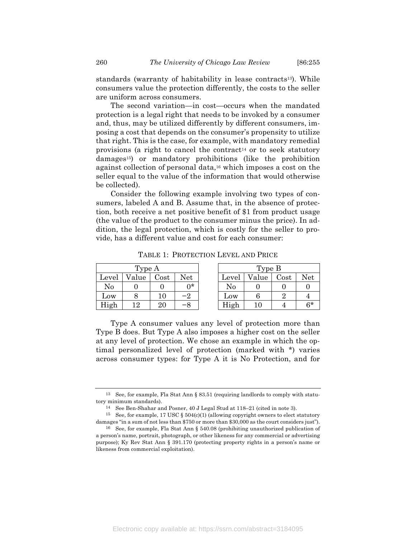standards (warranty of habitability in lease contracts<sup>13</sup>). While consumers value the protection differently, the costs to the seller are uniform across consumers.

The second variation—in cost—occurs when the mandated protection is a legal right that needs to be invoked by a consumer and, thus, may be utilized differently by different consumers, imposing a cost that depends on the consumer's propensity to utilize that right. This is the case, for example, with mandatory remedial provisions (a right to cancel the contract<sup>14</sup> or to seek statutory damages15) or mandatory prohibitions (like the prohibition against collection of personal data,16 which imposes a cost on the seller equal to the value of the information that would otherwise be collected).

Consider the following example involving two types of consumers, labeled A and B. Assume that, in the absence of protection, both receive a net positive benefit of \$1 from product usage (the value of the product to the consumer minus the price). In addition, the legal protection, which is costly for the seller to provide, has a different value and cost for each consumer:

| Type A |       |            |      | Type B |       |      |      |
|--------|-------|------------|------|--------|-------|------|------|
| Level  | Value | $\rm Cost$ | Net  | Level  | Value | Cost | Net  |
| No     |       |            | ∩*   | No     |       |      |      |
| Low    |       | 10         | $-2$ | Low    |       |      |      |
| High   | 12    | $\rm 20$   | -8   | High   |       |      | $6*$ |

TABLE 1: PROTECTION LEVEL AND PRICE

Type A consumer values any level of protection more than Type B does. But Type A also imposes a higher cost on the seller at any level of protection. We chose an example in which the optimal personalized level of protection (marked with \*) varies across consumer types: for Type A it is No Protection, and for

<sup>13</sup> See, for example, Fla Stat Ann § 83.51 (requiring landlords to comply with statutory minimum standards).

<sup>14</sup> See Ben-Shahar and Posner, 40 J Legal Stud at 118–21 (cited in note 3).

<sup>&</sup>lt;sup>15</sup> See, for example, 17 USC § 504(c)(1) (allowing copyright owners to elect statutory damages "in a sum of not less than \$750 or more than \$30,000 as the court considers just").

<sup>16</sup> See, for example, Fla Stat Ann § 540.08 (prohibiting unauthorized publication of a person's name, portrait, photograph, or other likeness for any commercial or advertising purpose); Ky Rev Stat Ann § 391.170 (protecting property rights in a person's name or likeness from commercial exploitation).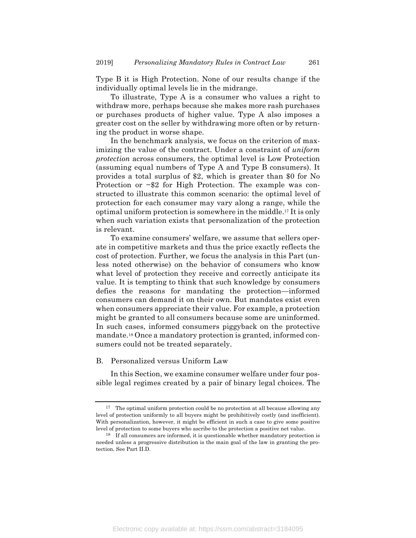Type B it is High Protection. None of our results change if the individually optimal levels lie in the midrange.

To illustrate, Type A is a consumer who values a right to withdraw more, perhaps because she makes more rash purchases or purchases products of higher value. Type A also imposes a greater cost on the seller by withdrawing more often or by returning the product in worse shape.

In the benchmark analysis, we focus on the criterion of maximizing the value of the contract. Under a constraint of *uniform protection* across consumers, the optimal level is Low Protection (assuming equal numbers of Type A and Type B consumers). It provides a total surplus of \$2, which is greater than \$0 for No Protection or −\$2 for High Protection. The example was constructed to illustrate this common scenario: the optimal level of protection for each consumer may vary along a range, while the optimal uniform protection is somewhere in the middle.17 It is only when such variation exists that personalization of the protection is relevant.

To examine consumers' welfare, we assume that sellers operate in competitive markets and thus the price exactly reflects the cost of protection. Further, we focus the analysis in this Part (unless noted otherwise) on the behavior of consumers who know what level of protection they receive and correctly anticipate its value. It is tempting to think that such knowledge by consumers defies the reasons for mandating the protection—informed consumers can demand it on their own. But mandates exist even when consumers appreciate their value. For example, a protection might be granted to all consumers because some are uninformed. In such cases, informed consumers piggyback on the protective mandate.18 Once a mandatory protection is granted, informed consumers could not be treated separately.

### B. Personalized versus Uniform Law

In this Section, we examine consumer welfare under four possible legal regimes created by a pair of binary legal choices. The

<sup>17</sup> The optimal uniform protection could be no protection at all because allowing any level of protection uniformly to all buyers might be prohibitively costly (and inefficient). With personalization, however, it might be efficient in such a case to give some positive level of protection to some buyers who ascribe to the protection a positive net value.

<sup>18</sup> If all consumers are informed, it is questionable whether mandatory protection is needed unless a progressive distribution is the main goal of the law in granting the protection. See Part II.D.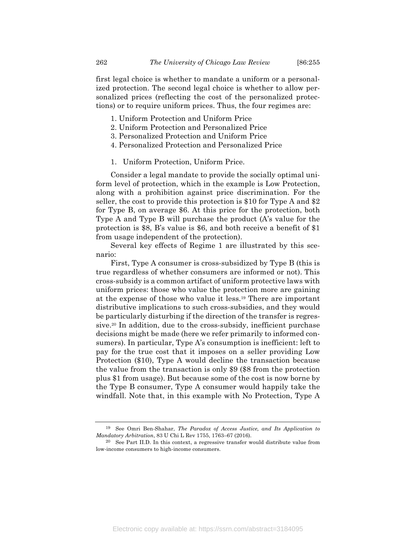first legal choice is whether to mandate a uniform or a personalized protection. The second legal choice is whether to allow personalized prices (reflecting the cost of the personalized protections) or to require uniform prices. Thus, the four regimes are:

- 1. Uniform Protection and Uniform Price
- 2. Uniform Protection and Personalized Price
- 3. Personalized Protection and Uniform Price
- 4. Personalized Protection and Personalized Price
- 1. Uniform Protection, Uniform Price.

Consider a legal mandate to provide the socially optimal uniform level of protection, which in the example is Low Protection, along with a prohibition against price discrimination. For the seller, the cost to provide this protection is \$10 for Type A and \$2 for Type B, on average \$6. At this price for the protection, both Type A and Type B will purchase the product (A's value for the protection is \$8, B's value is \$6, and both receive a benefit of \$1 from usage independent of the protection).

Several key effects of Regime 1 are illustrated by this scenario:

First, Type A consumer is cross-subsidized by Type B (this is true regardless of whether consumers are informed or not). This cross-subsidy is a common artifact of uniform protective laws with uniform prices: those who value the protection more are gaining at the expense of those who value it less.19 There are important distributive implications to such cross-subsidies, and they would be particularly disturbing if the direction of the transfer is regressive.20 In addition, due to the cross-subsidy, inefficient purchase decisions might be made (here we refer primarily to informed consumers). In particular, Type A's consumption is inefficient: left to pay for the true cost that it imposes on a seller providing Low Protection (\$10), Type A would decline the transaction because the value from the transaction is only \$9 (\$8 from the protection plus \$1 from usage). But because some of the cost is now borne by the Type B consumer, Type A consumer would happily take the windfall. Note that, in this example with No Protection, Type A

<sup>19</sup> See Omri Ben-Shahar, *The Paradox of Access Justice, and Its Application to Mandatory Arbitration*, 83 U Chi L Rev 1755, 1763–67 (2016).

<sup>20</sup> See Part II.D. In this context, a regressive transfer would distribute value from low-income consumers to high-income consumers.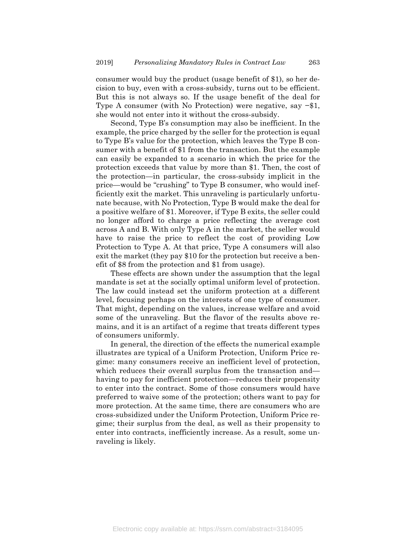consumer would buy the product (usage benefit of \$1), so her decision to buy, even with a cross-subsidy, turns out to be efficient. But this is not always so. If the usage benefit of the deal for Type A consumer (with No Protection) were negative, say −\$1, she would not enter into it without the cross-subsidy.

Second, Type B's consumption may also be inefficient. In the example, the price charged by the seller for the protection is equal to Type B's value for the protection, which leaves the Type B consumer with a benefit of \$1 from the transaction. But the example can easily be expanded to a scenario in which the price for the protection exceeds that value by more than \$1. Then, the cost of the protection—in particular, the cross-subsidy implicit in the price—would be "crushing" to Type B consumer, who would inefficiently exit the market. This unraveling is particularly unfortunate because, with No Protection, Type B would make the deal for a positive welfare of \$1. Moreover, if Type B exits, the seller could no longer afford to charge a price reflecting the average cost across A and B. With only Type A in the market, the seller would have to raise the price to reflect the cost of providing Low Protection to Type A. At that price, Type A consumers will also exit the market (they pay \$10 for the protection but receive a benefit of \$8 from the protection and \$1 from usage).

These effects are shown under the assumption that the legal mandate is set at the socially optimal uniform level of protection. The law could instead set the uniform protection at a different level, focusing perhaps on the interests of one type of consumer. That might, depending on the values, increase welfare and avoid some of the unraveling. But the flavor of the results above remains, and it is an artifact of a regime that treats different types of consumers uniformly.

In general, the direction of the effects the numerical example illustrates are typical of a Uniform Protection, Uniform Price regime: many consumers receive an inefficient level of protection, which reduces their overall surplus from the transaction and having to pay for inefficient protection—reduces their propensity to enter into the contract. Some of those consumers would have preferred to waive some of the protection; others want to pay for more protection. At the same time, there are consumers who are cross-subsidized under the Uniform Protection, Uniform Price regime; their surplus from the deal, as well as their propensity to enter into contracts, inefficiently increase. As a result, some unraveling is likely.

Electronic copy available at: https://ssrn.com/abstract=3184095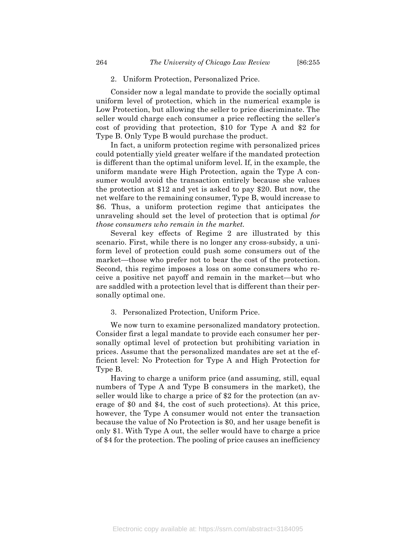#### 2. Uniform Protection, Personalized Price.

Consider now a legal mandate to provide the socially optimal uniform level of protection, which in the numerical example is Low Protection, but allowing the seller to price discriminate. The seller would charge each consumer a price reflecting the seller's cost of providing that protection, \$10 for Type A and \$2 for Type B. Only Type B would purchase the product.

In fact, a uniform protection regime with personalized prices could potentially yield greater welfare if the mandated protection is different than the optimal uniform level. If, in the example, the uniform mandate were High Protection, again the Type A consumer would avoid the transaction entirely because she values the protection at \$12 and yet is asked to pay \$20. But now, the net welfare to the remaining consumer, Type B, would increase to \$6. Thus, a uniform protection regime that anticipates the unraveling should set the level of protection that is optimal *for those consumers who remain in the market.*

Several key effects of Regime 2 are illustrated by this scenario. First, while there is no longer any cross-subsidy, a uniform level of protection could push some consumers out of the market—those who prefer not to bear the cost of the protection. Second, this regime imposes a loss on some consumers who receive a positive net payoff and remain in the market—but who are saddled with a protection level that is different than their personally optimal one.

3. Personalized Protection, Uniform Price.

We now turn to examine personalized mandatory protection. Consider first a legal mandate to provide each consumer her personally optimal level of protection but prohibiting variation in prices. Assume that the personalized mandates are set at the efficient level: No Protection for Type A and High Protection for Type B.

Having to charge a uniform price (and assuming, still, equal numbers of Type A and Type B consumers in the market), the seller would like to charge a price of \$2 for the protection (an average of \$0 and \$4, the cost of such protections). At this price, however, the Type A consumer would not enter the transaction because the value of No Protection is \$0, and her usage benefit is only \$1. With Type A out, the seller would have to charge a price of \$4 for the protection. The pooling of price causes an inefficiency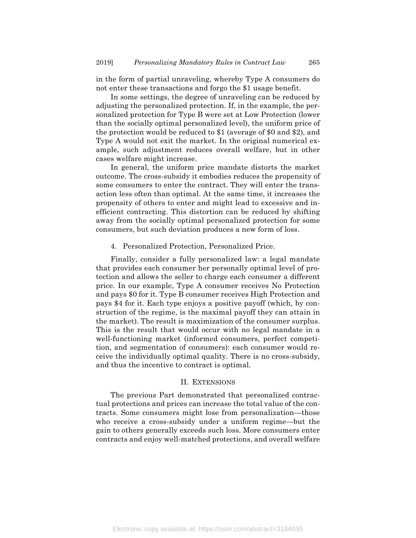in the form of partial unraveling, whereby Type A consumers do not enter these transactions and forgo the \$1 usage benefit.

In some settings, the degree of unraveling can be reduced by adjusting the personalized protection. If, in the example, the personalized protection for Type B were set at Low Protection (lower than the socially optimal personalized level), the uniform price of the protection would be reduced to \$1 (average of \$0 and \$2), and Type A would not exit the market. In the original numerical example, such adjustment reduces overall welfare, but in other cases welfare might increase.

In general, the uniform price mandate distorts the market outcome. The cross-subsidy it embodies reduces the propensity of some consumers to enter the contract. They will enter the transaction less often than optimal. At the same time, it increases the propensity of others to enter and might lead to excessive and inefficient contracting. This distortion can be reduced by shifting away from the socially optimal personalized protection for some consumers, but such deviation produces a new form of loss.

### 4. Personalized Protection, Personalized Price.

Finally, consider a fully personalized law: a legal mandate that provides each consumer her personally optimal level of protection and allows the seller to charge each consumer a different price. In our example, Type A consumer receives No Protection and pays \$0 for it. Type B consumer receives High Protection and pays \$4 for it. Each type enjoys a positive payoff (which, by construction of the regime, is the maximal payoff they can attain in the market). The result is maximization of the consumer surplus. This is the result that would occur with no legal mandate in a well-functioning market (informed consumers, perfect competition, and segmentation of consumers): each consumer would receive the individually optimal quality. There is no cross-subsidy, and thus the incentive to contract is optimal.

## II. EXTENSIONS

The previous Part demonstrated that personalized contractual protections and prices can increase the total value of the contracts. Some consumers might lose from personalization—those who receive a cross-subsidy under a uniform regime—but the gain to others generally exceeds such loss. More consumers enter contracts and enjoy well-matched protections, and overall welfare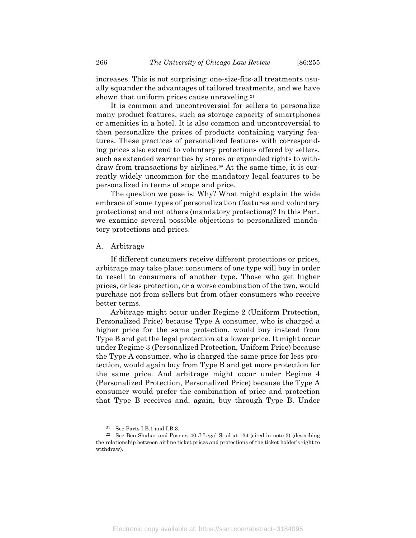increases. This is not surprising: one-size-fits-all treatments usually squander the advantages of tailored treatments, and we have shown that uniform prices cause unraveling.<sup>21</sup>

It is common and uncontroversial for sellers to personalize many product features, such as storage capacity of smartphones or amenities in a hotel. It is also common and uncontroversial to then personalize the prices of products containing varying features. These practices of personalized features with corresponding prices also extend to voluntary protections offered by sellers, such as extended warranties by stores or expanded rights to withdraw from transactions by airlines.<sup>22</sup> At the same time, it is currently widely uncommon for the mandatory legal features to be personalized in terms of scope and price.

The question we pose is: Why? What might explain the wide embrace of some types of personalization (features and voluntary protections) and not others (mandatory protections)? In this Part, we examine several possible objections to personalized mandatory protections and prices.

### A. Arbitrage

If different consumers receive different protections or prices, arbitrage may take place: consumers of one type will buy in order to resell to consumers of another type. Those who get higher prices, or less protection, or a worse combination of the two, would purchase not from sellers but from other consumers who receive better terms.

Arbitrage might occur under Regime 2 (Uniform Protection, Personalized Price) because Type A consumer, who is charged a higher price for the same protection, would buy instead from Type B and get the legal protection at a lower price. It might occur under Regime 3 (Personalized Protection, Uniform Price) because the Type A consumer, who is charged the same price for less protection, would again buy from Type B and get more protection for the same price. And arbitrage might occur under Regime 4 (Personalized Protection, Personalized Price) because the Type A consumer would prefer the combination of price and protection that Type B receives and, again, buy through Type B. Under

<sup>21</sup> See Parts I.B.1 and I.B.3.

<sup>22</sup> See Ben-Shahar and Posner, 40 J Legal Stud at 134 (cited in note 3) (describing the relationship between airline ticket prices and protections of the ticket holder's right to withdraw).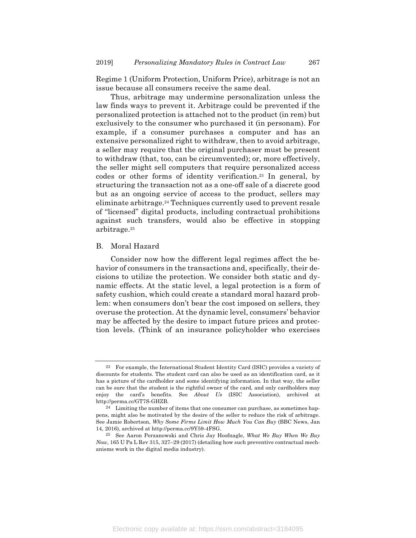Regime 1 (Uniform Protection, Uniform Price), arbitrage is not an issue because all consumers receive the same deal.

Thus, arbitrage may undermine personalization unless the law finds ways to prevent it. Arbitrage could be prevented if the personalized protection is attached not to the product (in rem) but exclusively to the consumer who purchased it (in personam). For example, if a consumer purchases a computer and has an extensive personalized right to withdraw, then to avoid arbitrage, a seller may require that the original purchaser must be present to withdraw (that, too, can be circumvented); or, more effectively, the seller might sell computers that require personalized access codes or other forms of identity verification.23 In general, by structuring the transaction not as a one-off sale of a discrete good but as an ongoing service of access to the product, sellers may eliminate arbitrage.24 Techniques currently used to prevent resale of "licensed" digital products, including contractual prohibitions against such transfers, would also be effective in stopping arbitrage.25

# B. Moral Hazard

Consider now how the different legal regimes affect the behavior of consumers in the transactions and, specifically, their decisions to utilize the protection. We consider both static and dynamic effects. At the static level, a legal protection is a form of safety cushion, which could create a standard moral hazard problem: when consumers don't bear the cost imposed on sellers, they overuse the protection. At the dynamic level, consumers' behavior may be affected by the desire to impact future prices and protection levels. (Think of an insurance policyholder who exercises

<sup>23</sup> For example, the International Student Identity Card (ISIC) provides a variety of discounts for students. The student card can also be used as an identification card, as it has a picture of the cardholder and some identifying information. In that way, the seller can be sure that the student is the rightful owner of the card, and only cardholders may enjoy the card's benefits. See *About Us* (ISIC Association), archived at http://perma.cc/GT7S-GHZB.

<sup>24</sup> Limiting the number of items that one consumer can purchase, as sometimes happens, might also be motivated by the desire of the seller to reduce the risk of arbitrage. See Jamie Robertson, *Why Some Firms Limit How Much You Can Buy* (BBC News, Jan 14, 2016), archived at http://perma.cc/9Y59-4FSG.

<sup>25</sup> See Aaron Perzanowski and Chris Jay Hoofnagle, *What We Buy When We Buy Now*, 165 U Pa L Rev 315, 327–29 (2017) (detailing how such preventive contractual mechanisms work in the digital media industry).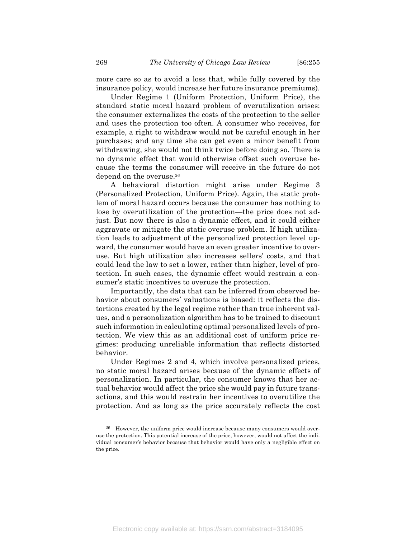more care so as to avoid a loss that, while fully covered by the insurance policy, would increase her future insurance premiums).

Under Regime 1 (Uniform Protection, Uniform Price), the standard static moral hazard problem of overutilization arises: the consumer externalizes the costs of the protection to the seller and uses the protection too often. A consumer who receives, for example, a right to withdraw would not be careful enough in her purchases; and any time she can get even a minor benefit from withdrawing, she would not think twice before doing so. There is no dynamic effect that would otherwise offset such overuse because the terms the consumer will receive in the future do not depend on the overuse.26

A behavioral distortion might arise under Regime 3 (Personalized Protection, Uniform Price). Again, the static problem of moral hazard occurs because the consumer has nothing to lose by overutilization of the protection—the price does not adjust. But now there is also a dynamic effect, and it could either aggravate or mitigate the static overuse problem. If high utilization leads to adjustment of the personalized protection level upward, the consumer would have an even greater incentive to overuse. But high utilization also increases sellers' costs, and that could lead the law to set a lower, rather than higher, level of protection. In such cases, the dynamic effect would restrain a consumer's static incentives to overuse the protection.

Importantly, the data that can be inferred from observed behavior about consumers' valuations is biased: it reflects the distortions created by the legal regime rather than true inherent values, and a personalization algorithm has to be trained to discount such information in calculating optimal personalized levels of protection. We view this as an additional cost of uniform price regimes: producing unreliable information that reflects distorted behavior.

Under Regimes 2 and 4, which involve personalized prices, no static moral hazard arises because of the dynamic effects of personalization. In particular, the consumer knows that her actual behavior would affect the price she would pay in future transactions, and this would restrain her incentives to overutilize the protection. And as long as the price accurately reflects the cost

<sup>26</sup> However, the uniform price would increase because many consumers would overuse the protection. This potential increase of the price, however, would not affect the individual consumer's behavior because that behavior would have only a negligible effect on the price.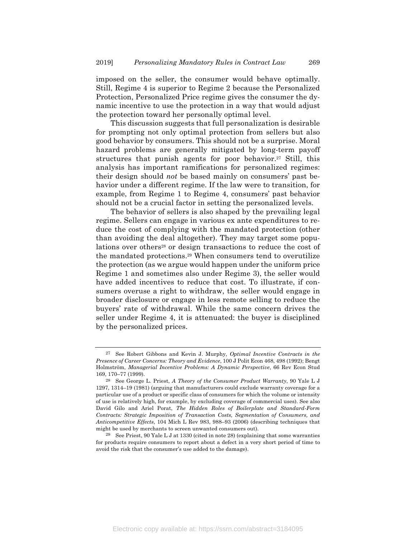imposed on the seller, the consumer would behave optimally. Still, Regime 4 is superior to Regime 2 because the Personalized Protection, Personalized Price regime gives the consumer the dynamic incentive to use the protection in a way that would adjust the protection toward her personally optimal level.

This discussion suggests that full personalization is desirable for prompting not only optimal protection from sellers but also good behavior by consumers. This should not be a surprise. Moral hazard problems are generally mitigated by long-term payoff structures that punish agents for poor behavior.<sup>27</sup> Still, this analysis has important ramifications for personalized regimes: their design should *not* be based mainly on consumers' past behavior under a different regime. If the law were to transition, for example, from Regime 1 to Regime 4, consumers' past behavior should not be a crucial factor in setting the personalized levels.

The behavior of sellers is also shaped by the prevailing legal regime. Sellers can engage in various ex ante expenditures to reduce the cost of complying with the mandated protection (other than avoiding the deal altogether). They may target some populations over others<sup>28</sup> or design transactions to reduce the cost of the mandated protections.29 When consumers tend to overutilize the protection (as we argue would happen under the uniform price Regime 1 and sometimes also under Regime 3), the seller would have added incentives to reduce that cost. To illustrate, if consumers overuse a right to withdraw, the seller would engage in broader disclosure or engage in less remote selling to reduce the buyers' rate of withdrawal. While the same concern drives the seller under Regime 4, it is attenuated: the buyer is disciplined by the personalized prices.

Electronic copy available at: https://ssrn.com/abstract=3184095

<sup>27</sup> See Robert Gibbons and Kevin J. Murphy, *Optimal Incentive Contracts in the Presence of Career Concerns: Theory and Evidence*, 100 J Polit Econ 468, 498 (1992); Bengt Holmström, *Managerial Incentive Problems: A Dynamic Perspective*, 66 Rev Econ Stud 169, 170–77 (1999).

<sup>28</sup> See George L. Priest, *A Theory of the Consumer Product Warranty*, 90 Yale L J 1297, 1314–19 (1981) (arguing that manufacturers could exclude warranty coverage for a particular use of a product or specific class of consumers for which the volume or intensity of use is relatively high, for example, by excluding coverage of commercial uses). See also David Gilo and Ariel Porat, *The Hidden Roles of Boilerplate and Standard-Form Contracts: Strategic Imposition of Transaction Costs, Segmentation of Consumers, and Anticompetitive Effects*, 104 Mich L Rev 983, 988–93 (2006) (describing techniques that might be used by merchants to screen unwanted consumers out).

<sup>&</sup>lt;sup>29</sup> See Priest, 90 Yale L J at 1330 (cited in note 28) (explaining that some warranties for products require consumers to report about a defect in a very short period of time to avoid the risk that the consumer's use added to the damage).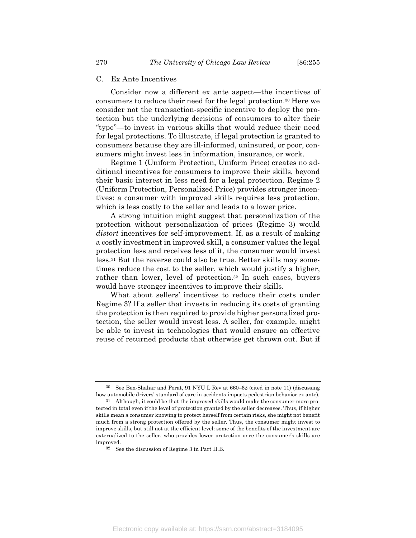#### C. Ex Ante Incentives

Consider now a different ex ante aspect—the incentives of consumers to reduce their need for the legal protection.30 Here we consider not the transaction-specific incentive to deploy the protection but the underlying decisions of consumers to alter their "type"—to invest in various skills that would reduce their need for legal protections. To illustrate, if legal protection is granted to consumers because they are ill-informed, uninsured, or poor, consumers might invest less in information, insurance, or work.

Regime 1 (Uniform Protection, Uniform Price) creates no additional incentives for consumers to improve their skills, beyond their basic interest in less need for a legal protection. Regime 2 (Uniform Protection, Personalized Price) provides stronger incentives: a consumer with improved skills requires less protection, which is less costly to the seller and leads to a lower price.

A strong intuition might suggest that personalization of the protection without personalization of prices (Regime 3) would *distort* incentives for self-improvement. If, as a result of making a costly investment in improved skill, a consumer values the legal protection less and receives less of it, the consumer would invest less.31 But the reverse could also be true. Better skills may sometimes reduce the cost to the seller, which would justify a higher, rather than lower, level of protection.32 In such cases, buyers would have stronger incentives to improve their skills.

What about sellers' incentives to reduce their costs under Regime 3? If a seller that invests in reducing its costs of granting the protection is then required to provide higher personalized protection, the seller would invest less. A seller, for example, might be able to invest in technologies that would ensure an effective reuse of returned products that otherwise get thrown out. But if

See Ben-Shahar and Porat, 91 NYU L Rev at 660–62 (cited in note 11) (discussing how automobile drivers' standard of care in accidents impacts pedestrian behavior ex ante).

<sup>31</sup> Although, it could be that the improved skills would make the consumer more protected in total even if the level of protection granted by the seller decreases. Thus, if higher skills mean a consumer knowing to protect herself from certain risks, she might not benefit much from a strong protection offered by the seller. Thus, the consumer might invest to improve skills, but still not at the efficient level: some of the benefits of the investment are externalized to the seller, who provides lower protection once the consumer's skills are improved.

<sup>32</sup> See the discussion of Regime 3 in Part II.B.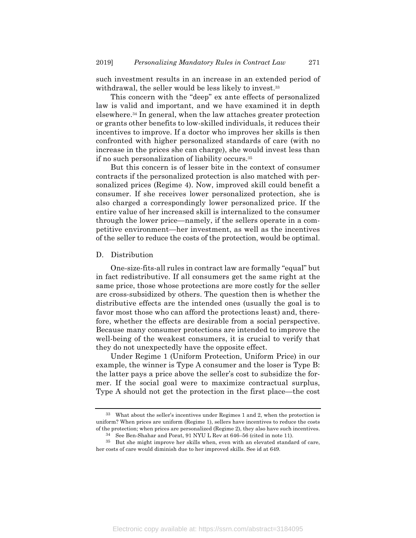such investment results in an increase in an extended period of withdrawal, the seller would be less likely to invest.<sup>33</sup>

This concern with the "deep" ex ante effects of personalized law is valid and important, and we have examined it in depth elsewhere.34 In general, when the law attaches greater protection or grants other benefits to low-skilled individuals, it reduces their incentives to improve. If a doctor who improves her skills is then confronted with higher personalized standards of care (with no increase in the prices she can charge), she would invest less than if no such personalization of liability occurs.35

But this concern is of lesser bite in the context of consumer contracts if the personalized protection is also matched with personalized prices (Regime 4). Now, improved skill could benefit a consumer. If she receives lower personalized protection, she is also charged a correspondingly lower personalized price. If the entire value of her increased skill is internalized to the consumer through the lower price—namely, if the sellers operate in a competitive environment—her investment, as well as the incentives of the seller to reduce the costs of the protection, would be optimal.

#### D. Distribution

One-size-fits-all rules in contract law are formally "equal" but in fact redistributive. If all consumers get the same right at the same price, those whose protections are more costly for the seller are cross-subsidized by others. The question then is whether the distributive effects are the intended ones (usually the goal is to favor most those who can afford the protections least) and, therefore, whether the effects are desirable from a social perspective. Because many consumer protections are intended to improve the well-being of the weakest consumers, it is crucial to verify that they do not unexpectedly have the opposite effect.

Under Regime 1 (Uniform Protection, Uniform Price) in our example, the winner is Type A consumer and the loser is Type B: the latter pays a price above the seller's cost to subsidize the former. If the social goal were to maximize contractual surplus, Type A should not get the protection in the first place—the cost

Electronic copy available at: https://ssrn.com/abstract=3184095

<sup>33</sup> What about the seller's incentives under Regimes 1 and 2, when the protection is uniform? When prices are uniform (Regime 1), sellers have incentives to reduce the costs of the protection; when prices are personalized (Regime 2), they also have such incentives.

<sup>34</sup> See Ben-Shahar and Porat, 91 NYU L Rev at 646–56 (cited in note 11).

<sup>35</sup> But she might improve her skills when, even with an elevated standard of care, her costs of care would diminish due to her improved skills. See id at 649.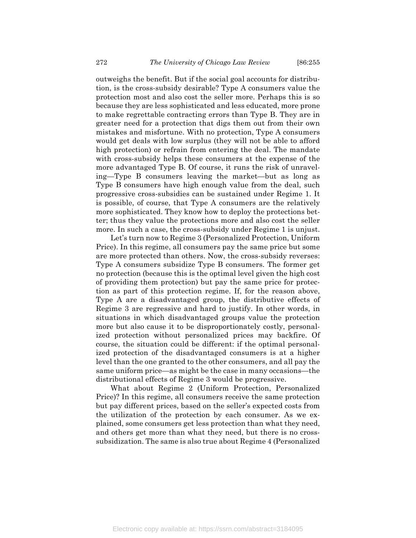outweighs the benefit. But if the social goal accounts for distribution, is the cross-subsidy desirable? Type A consumers value the protection most and also cost the seller more. Perhaps this is so because they are less sophisticated and less educated, more prone to make regrettable contracting errors than Type B. They are in greater need for a protection that digs them out from their own mistakes and misfortune. With no protection, Type A consumers would get deals with low surplus (they will not be able to afford high protection) or refrain from entering the deal. The mandate with cross-subsidy helps these consumers at the expense of the more advantaged Type B. Of course, it runs the risk of unraveling—Type B consumers leaving the market—but as long as Type B consumers have high enough value from the deal, such progressive cross-subsidies can be sustained under Regime 1. It is possible, of course, that Type A consumers are the relatively more sophisticated. They know how to deploy the protections better; thus they value the protections more and also cost the seller more. In such a case, the cross-subsidy under Regime 1 is unjust.

Let's turn now to Regime 3 (Personalized Protection, Uniform Price). In this regime, all consumers pay the same price but some are more protected than others. Now, the cross-subsidy reverses: Type A consumers subsidize Type B consumers. The former get no protection (because this is the optimal level given the high cost of providing them protection) but pay the same price for protection as part of this protection regime. If, for the reason above, Type A are a disadvantaged group, the distributive effects of Regime 3 are regressive and hard to justify. In other words, in situations in which disadvantaged groups value the protection more but also cause it to be disproportionately costly, personalized protection without personalized prices may backfire. Of course, the situation could be different: if the optimal personalized protection of the disadvantaged consumers is at a higher level than the one granted to the other consumers, and all pay the same uniform price—as might be the case in many occasions—the distributional effects of Regime 3 would be progressive.

What about Regime 2 (Uniform Protection, Personalized Price)? In this regime, all consumers receive the same protection but pay different prices, based on the seller's expected costs from the utilization of the protection by each consumer. As we explained, some consumers get less protection than what they need, and others get more than what they need, but there is no crosssubsidization. The same is also true about Regime 4 (Personalized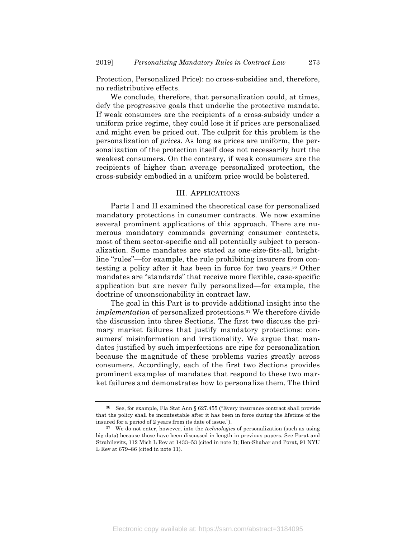Protection, Personalized Price): no cross-subsidies and, therefore, no redistributive effects.

We conclude, therefore, that personalization could, at times, defy the progressive goals that underlie the protective mandate. If weak consumers are the recipients of a cross-subsidy under a uniform price regime, they could lose it if prices are personalized and might even be priced out. The culprit for this problem is the personalization of *prices*. As long as prices are uniform, the personalization of the protection itself does not necessarily hurt the weakest consumers. On the contrary, if weak consumers are the recipients of higher than average personalized protection, the cross-subsidy embodied in a uniform price would be bolstered.

# III. APPLICATIONS

Parts I and II examined the theoretical case for personalized mandatory protections in consumer contracts. We now examine several prominent applications of this approach. There are numerous mandatory commands governing consumer contracts, most of them sector-specific and all potentially subject to personalization. Some mandates are stated as one-size-fits-all, brightline "rules"—for example, the rule prohibiting insurers from contesting a policy after it has been in force for two years.36 Other mandates are "standards" that receive more flexible, case-specific application but are never fully personalized—for example, the doctrine of unconscionability in contract law.

The goal in this Part is to provide additional insight into the *implementation* of personalized protections.37 We therefore divide the discussion into three Sections. The first two discuss the primary market failures that justify mandatory protections: consumers' misinformation and irrationality. We argue that mandates justified by such imperfections are ripe for personalization because the magnitude of these problems varies greatly across consumers. Accordingly, each of the first two Sections provides prominent examples of mandates that respond to these two market failures and demonstrates how to personalize them. The third

Electronic copy available at: https://ssrn.com/abstract=3184095

<sup>36</sup> See, for example, Fla Stat Ann § 627.455 ("Every insurance contract shall provide that the policy shall be incontestable after it has been in force during the lifetime of the insured for a period of 2 years from its date of issue.").

<sup>37</sup> We do not enter, however, into the *technologies* of personalization (such as using big data) because those have been discussed in length in previous papers. See Porat and Strahilevitz, 112 Mich L Rev at 1433–53 (cited in note 3); Ben-Shahar and Porat, 91 NYU L Rev at 679–86 (cited in note 11).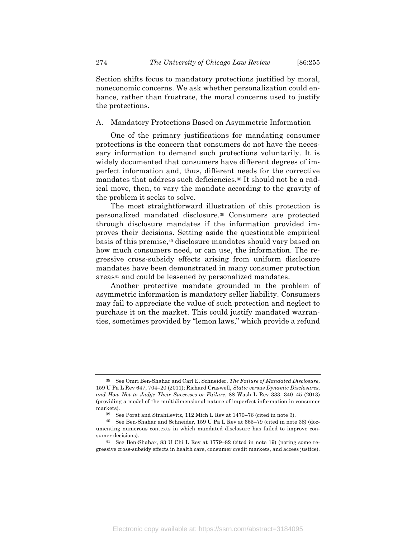Section shifts focus to mandatory protections justified by moral, noneconomic concerns. We ask whether personalization could enhance, rather than frustrate, the moral concerns used to justify the protections.

## A. Mandatory Protections Based on Asymmetric Information

One of the primary justifications for mandating consumer protections is the concern that consumers do not have the necessary information to demand such protections voluntarily. It is widely documented that consumers have different degrees of imperfect information and, thus, different needs for the corrective mandates that address such deficiencies.38 It should not be a radical move, then, to vary the mandate according to the gravity of the problem it seeks to solve.

The most straightforward illustration of this protection is personalized mandated disclosure.39 Consumers are protected through disclosure mandates if the information provided improves their decisions. Setting aside the questionable empirical basis of this premise,40 disclosure mandates should vary based on how much consumers need, or can use, the information. The regressive cross-subsidy effects arising from uniform disclosure mandates have been demonstrated in many consumer protection areas<sup>41</sup> and could be lessened by personalized mandates.

Another protective mandate grounded in the problem of asymmetric information is mandatory seller liability. Consumers may fail to appreciate the value of such protection and neglect to purchase it on the market. This could justify mandated warranties, sometimes provided by "lemon laws," which provide a refund

<sup>38</sup> See Omri Ben-Shahar and Carl E. Schneider, *The Failure of Mandated Disclosure*, 159 U Pa L Rev 647, 704–20 (2011); Richard Craswell, *Static versus Dynamic Disclosures, and How Not to Judge Their Successes or Failure*, 88 Wash L Rev 333, 340–45 (2013) (providing a model of the multidimensional nature of imperfect information in consumer markets).

<sup>39</sup> See Porat and Strahilevitz, 112 Mich L Rev at 1470–76 (cited in note 3).

<sup>40</sup> See Ben-Shahar and Schneider, 159 U Pa L Rev at 665–79 (cited in note 38) (documenting numerous contexts in which mandated disclosure has failed to improve consumer decisions).

<sup>41</sup> See Ben-Shahar, 83 U Chi L Rev at 1779–82 (cited in note 19) (noting some regressive cross-subsidy effects in health care, consumer credit markets, and access justice).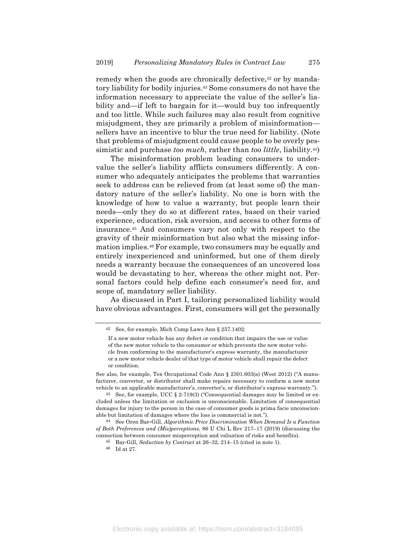remedy when the goods are chronically defective,<sup>42</sup> or by mandatory liability for bodily injuries.43 Some consumers do not have the information necessary to appreciate the value of the seller's liability and—if left to bargain for it—would buy too infrequently and too little. While such failures may also result from cognitive misjudgment, they are primarily a problem of misinformation sellers have an incentive to blur the true need for liability. (Note that problems of misjudgment could cause people to be overly pessimistic and purchase *too much*, rather than *too little*, liability.44)

The misinformation problem leading consumers to undervalue the seller's liability afflicts consumers differently. A consumer who adequately anticipates the problems that warranties seek to address can be relieved from (at least some of) the mandatory nature of the seller's liability. No one is born with the knowledge of how to value a warranty, but people learn their needs—only they do so at different rates, based on their varied experience, education, risk aversion, and access to other forms of insurance.45 And consumers vary not only with respect to the gravity of their misinformation but also what the missing information implies.46 For example, two consumers may be equally and entirely inexperienced and uninformed, but one of them direly needs a warranty because the consequences of an uncovered loss would be devastating to her, whereas the other might not. Personal factors could help define each consumer's need for, and scope of, mandatory seller liability.

As discussed in Part I, tailoring personalized liability would have obvious advantages. First, consumers will get the personally

<sup>42</sup> See, for example, Mich Comp Laws Ann § 257.1402:

If a new motor vehicle has any defect or condition that impairs the use or value of the new motor vehicle to the consumer or which prevents the new motor vehicle from conforming to the manufacturer's express warranty, the manufacturer or a new motor vehicle dealer of that type of motor vehicle shall repair the defect or condition.

See also, for example, Tex Occupational Code Ann § 2301.603(a) (West 2012) ("A manufacturer, converter, or distributor shall make repairs necessary to conform a new motor vehicle to an applicable manufacturer's, converter's, or distributor's express warranty.").

<sup>&</sup>lt;sup>43</sup> See, for example, UCC  $\S$  2-719(3) ("Consequential damages may be limited or excluded unless the limitation or exclusion is unconscionable. Limitation of consequential damages for injury to the person in the case of consumer goods is prima facie unconscionable but limitation of damages where the loss is commercial is not.").

<sup>44</sup> See Oren Bar-Gill, *Algorithmic Price Discrimination When Demand Is a Function of Both Preferences and (Mis)perceptions*, 86 U Chi L Rev 217–17 (2019) (discussing the connection between consumer misperception and valuation of risks and benefits).

<sup>45</sup> Bar-Gill, *Seduction by Contract* at 26–32, 214–15 (cited in note 1).

<sup>46</sup> Id at 27.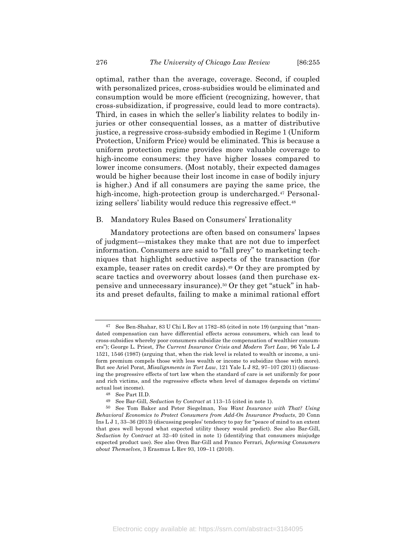optimal, rather than the average, coverage. Second, if coupled with personalized prices, cross-subsidies would be eliminated and consumption would be more efficient (recognizing, however, that cross-subsidization, if progressive, could lead to more contracts). Third, in cases in which the seller's liability relates to bodily injuries or other consequential losses, as a matter of distributive justice, a regressive cross-subsidy embodied in Regime 1 (Uniform Protection, Uniform Price) would be eliminated. This is because a uniform protection regime provides more valuable coverage to high-income consumers: they have higher losses compared to lower income consumers. (Most notably, their expected damages would be higher because their lost income in case of bodily injury is higher.) And if all consumers are paying the same price, the high-income, high-protection group is undercharged.<sup>47</sup> Personalizing sellers' liability would reduce this regressive effect.48

#### B. Mandatory Rules Based on Consumers' Irrationality

Mandatory protections are often based on consumers' lapses of judgment—mistakes they make that are not due to imperfect information. Consumers are said to "fall prey" to marketing techniques that highlight seductive aspects of the transaction (for example, teaser rates on credit cards).49 Or they are prompted by scare tactics and overworry about losses (and then purchase expensive and unnecessary insurance).50 Or they get "stuck" in habits and preset defaults, failing to make a minimal rational effort

See Ben-Shahar, 83 U Chi L Rev at 1782–85 (cited in note 19) (arguing that "mandated compensation can have differential effects across consumers, which can lead to cross-subsidies whereby poor consumers subsidize the compensation of wealthier consumers"); George L. Priest, *The Current Insurance Crisis and Modern Tort Law*, 96 Yale L J 1521, 1546 (1987) (arguing that, when the risk level is related to wealth or income, a uniform premium compels those with less wealth or income to subsidize those with more). But see Ariel Porat, *Misalignments in Tort Law*, 121 Yale L J 82, 97–107 (2011) (discussing the progressive effects of tort law when the standard of care is set uniformly for poor and rich victims, and the regressive effects when level of damages depends on victims' actual lost income).

<sup>48</sup> See Part II.D.

<sup>49</sup> See Bar-Gill, *Seduction by Contract* at 113–15 (cited in note 1).

<sup>50</sup> See Tom Baker and Peter Siegelman, *You Want Insurance with That? Using Behavioral Economics to Protect Consumers from Add-On Insurance Products*, 20 Conn Ins L J 1, 33–36 (2013) (discussing peoples' tendency to pay for "peace of mind to an extent that goes well beyond what expected utility theory would predict). See also Bar-Gill, *Seduction by Contract* at 32–40 (cited in note 1) (identifying that consumers misjudge expected product use). See also Oren Bar-Gill and Franco Ferrari, *Informing Consumers about Themselves*, 3 Erasmus L Rev 93, 109–11 (2010).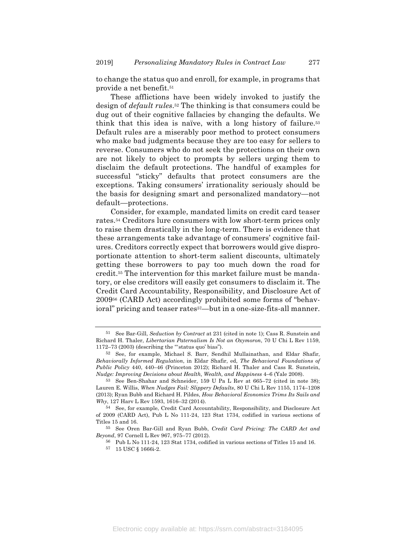to change the status quo and enroll, for example, in programs that provide a net benefit.51

These afflictions have been widely invoked to justify the design of *default rules*.52 The thinking is that consumers could be dug out of their cognitive fallacies by changing the defaults. We think that this idea is naïve, with a long history of failure.53 Default rules are a miserably poor method to protect consumers who make bad judgments because they are too easy for sellers to reverse. Consumers who do not seek the protections on their own are not likely to object to prompts by sellers urging them to disclaim the default protections. The handful of examples for successful "sticky" defaults that protect consumers are the exceptions. Taking consumers' irrationality seriously should be the basis for designing smart and personalized mandatory—not default—protections.

Consider, for example, mandated limits on credit card teaser rates.54 Creditors lure consumers with low short-term prices only to raise them drastically in the long-term. There is evidence that these arrangements take advantage of consumers' cognitive failures. Creditors correctly expect that borrowers would give disproportionate attention to short-term salient discounts, ultimately getting these borrowers to pay too much down the road for credit.55 The intervention for this market failure must be mandatory, or else creditors will easily get consumers to disclaim it. The Credit Card Accountability, Responsibility, and Disclosure Act of 200956 (CARD Act) accordingly prohibited some forms of "behavioral" pricing and teaser rates<sup>57</sup>—but in a one-size-fits-all manner.

<sup>51</sup> See Bar-Gill, *Seduction by Contract* at 231 (cited in note 1); Cass R. Sunstein and Richard H. Thaler, *Libertarian Paternalism Is Not an Oxymoron*, 70 U Chi L Rev 1159, 1172–73 (2003) (describing the "'status quo' bias").

<sup>52</sup> See, for example, Michael S. Barr, Sendhil Mullainathan, and Eldar Shafir, *Behaviorally Informed Regulation*, in Eldar Shafir, ed, *The Behavioral Foundations of Public Policy* 440, 440–46 (Princeton 2012); Richard H. Thaler and Cass R. Sunstein, *Nudge: Improving Decisions about Health, Wealth, and Happiness* 4–6 (Yale 2008).

<sup>53</sup> See Ben-Shahar and Schneider, 159 U Pa L Rev at 665–72 (cited in note 38); Lauren E. Willis, *When Nudges Fail: Slippery Defaults*, 80 U Chi L Rev 1155, 1174–1208 (2013); Ryan Bubb and Richard H. Pildes, *How Behavioral Economics Trims Its Sails and Why*, 127 Harv L Rev 1593, 1616–32 (2014).

<sup>54</sup> See, for example, Credit Card Accountability, Responsibility, and Disclosure Act of 2009 (CARD Act), Pub L No 111-24, 123 Stat 1734, codified in various sections of Titles 15 and 16.

<sup>55</sup> See Oren Bar-Gill and Ryan Bubb, *Credit Card Pricing: The CARD Act and Beyond*, 97 Cornell L Rev 967, 975–77 (2012).

<sup>56</sup> Pub L No 111-24, 123 Stat 1734, codified in various sections of Titles 15 and 16.

<sup>57</sup> 15 USC § 1666i-2.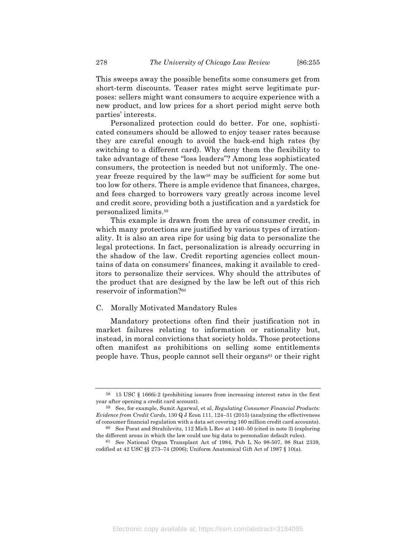This sweeps away the possible benefits some consumers get from short-term discounts. Teaser rates might serve legitimate purposes: sellers might want consumers to acquire experience with a new product, and low prices for a short period might serve both parties' interests.

Personalized protection could do better. For one, sophisticated consumers should be allowed to enjoy teaser rates because they are careful enough to avoid the back-end high rates (by switching to a different card). Why deny them the flexibility to take advantage of these "loss leaders"? Among less sophisticated consumers, the protection is needed but not uniformly. The oneyear freeze required by the law58 may be sufficient for some but too low for others. There is ample evidence that finances, charges, and fees charged to borrowers vary greatly across income level and credit score, providing both a justification and a yardstick for personalized limits.59

This example is drawn from the area of consumer credit, in which many protections are justified by various types of irrationality. It is also an area ripe for using big data to personalize the legal protections. In fact, personalization is already occurring in the shadow of the law. Credit reporting agencies collect mountains of data on consumers' finances, making it available to creditors to personalize their services. Why should the attributes of the product that are designed by the law be left out of this rich reservoir of information?60

#### C. Morally Motivated Mandatory Rules

Mandatory protections often find their justification not in market failures relating to information or rationality but, instead, in moral convictions that society holds. Those protections often manifest as prohibitions on selling some entitlements people have. Thus, people cannot sell their organs61 or their right

<sup>58</sup> 15 USC § 1666i-2 (prohibiting issuers from increasing interest rates in the first year after opening a credit card account).

<sup>59</sup> See, for example, Sumit Agarwal, et al, *Regulating Consumer Financial Products: Evidence from Credit Cards*, 130 Q J Econ 111, 124–31 (2015) (analyzing the effectiveness of consumer financial regulation with a data set covering 160 million credit card accounts). 60 See Porat and Strahilevitz, 112 Mich L Rev at 1440–50 (cited in note 3) (exploring

the different areas in which the law could use big data to personalize default rules).

<sup>61</sup> See National Organ Transplant Act of 1984, Pub L No 98-507, 98 Stat 2339, codified at 42 USC §§ 273–74 (2006); Uniform Anatomical Gift Act of 1987 § 10(a).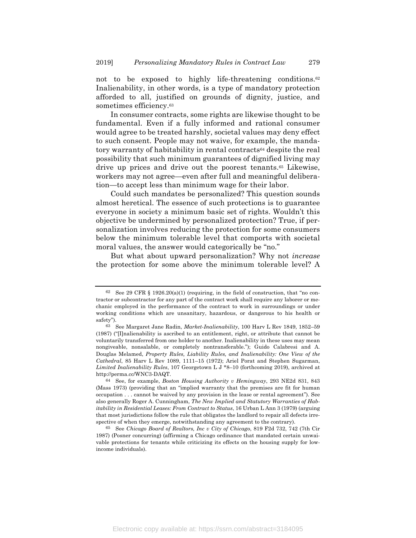not to be exposed to highly life-threatening conditions.<sup>62</sup> Inalienability, in other words, is a type of mandatory protection afforded to all, justified on grounds of dignity, justice, and sometimes efficiency.63

In consumer contracts, some rights are likewise thought to be fundamental. Even if a fully informed and rational consumer would agree to be treated harshly, societal values may deny effect to such consent. People may not waive, for example, the mandatory warranty of habitability in rental contracts64 despite the real possibility that such minimum guarantees of dignified living may drive up prices and drive out the poorest tenants.65 Likewise, workers may not agree—even after full and meaningful deliberation—to accept less than minimum wage for their labor.

Could such mandates be personalized? This question sounds almost heretical. The essence of such protections is to guarantee everyone in society a minimum basic set of rights. Wouldn't this objective be undermined by personalized protection? True, if personalization involves reducing the protection for some consumers below the minimum tolerable level that comports with societal moral values, the answer would categorically be "no."

But what about upward personalization? Why not *increase* the protection for some above the minimum tolerable level? A

 $62$  See 29 CFR § 1926.20(a)(1) (requiring, in the field of construction, that "no contractor or subcontractor for any part of the contract work shall require any laborer or mechanic employed in the performance of the contract to work in surroundings or under working conditions which are unsanitary, hazardous, or dangerous to his health or safety").

<sup>63</sup> See Margaret Jane Radin, *Market-Inalienability*, 100 Harv L Rev 1849, 1852–59 (1987) ("[I]nalienability is ascribed to an entitlement, right, or attribute that cannot be voluntarily transferred from one holder to another. Inalienability in these uses may mean nongiveable, nonsalable, or completely nontransferable."); Guido Calabresi and A. Douglas Melamed, *Property Rules, Liability Rules, and Inalienability: One View of the Cathedral*, 85 Harv L Rev 1089, 1111–15 (1972); Ariel Porat and Stephen Sugarman, *Limited Inalienability Rules*, 107 Georgetown L J \*8–10 (forthcoming 2019), archived at http://perma.cc/WNC3-DAQT.

<sup>64</sup> See, for example, *Boston Housing Authority v Hemingway*, 293 NE2d 831, 843 (Mass 1973) (providing that an "implied warranty that the premises are fit for human occupation . . . cannot be waived by any provision in the lease or rental agreement"). See also generally Roger A. Cunningham, *The New Implied and Statutory Warranties of Habitability in Residential Leases: From Contract to Status*, 16 Urban L Ann 3 (1979) (arguing that most jurisdictions follow the rule that obligates the landlord to repair all defects irrespective of when they emerge, notwithstanding any agreement to the contrary).

<sup>65</sup> See *Chicago Board of Realtors, Inc v City of Chicago*, 819 F2d 732, 742 (7th Cir 1987) (Posner concurring) (affirming a Chicago ordinance that mandated certain unwaivable protections for tenants while criticizing its effects on the housing supply for lowincome individuals).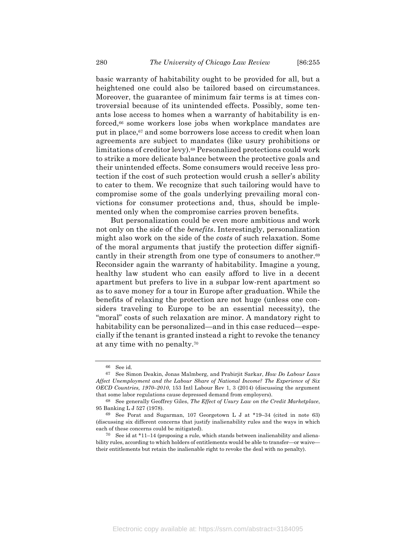basic warranty of habitability ought to be provided for all, but a heightened one could also be tailored based on circumstances. Moreover, the guarantee of minimum fair terms is at times controversial because of its unintended effects. Possibly, some tenants lose access to homes when a warranty of habitability is enforced,<sup>66</sup> some workers lose jobs when workplace mandates are put in place,67 and some borrowers lose access to credit when loan agreements are subject to mandates (like usury prohibitions or limitations of creditor levy).<sup>68</sup> Personalized protections could work to strike a more delicate balance between the protective goals and their unintended effects. Some consumers would receive less protection if the cost of such protection would crush a seller's ability to cater to them. We recognize that such tailoring would have to compromise some of the goals underlying prevailing moral convictions for consumer protections and, thus, should be implemented only when the compromise carries proven benefits.

But personalization could be even more ambitious and work not only on the side of the *benefits*. Interestingly, personalization might also work on the side of the *costs* of such relaxation. Some of the moral arguments that justify the protection differ significantly in their strength from one type of consumers to another.<sup>69</sup> Reconsider again the warranty of habitability. Imagine a young, healthy law student who can easily afford to live in a decent apartment but prefers to live in a subpar low-rent apartment so as to save money for a tour in Europe after graduation. While the benefits of relaxing the protection are not huge (unless one considers traveling to Europe to be an essential necessity), the "moral" costs of such relaxation are minor. A mandatory right to habitability can be personalized—and in this case reduced—especially if the tenant is granted instead a right to revoke the tenancy at any time with no penalty.70

<sup>66</sup> See id.

<sup>67</sup> See Simon Deakin, Jonas Malmberg, and Prabirjit Sarkar, *How Do Labour Laws Affect Unemployment and the Labour Share of National Income? The Experience of Six OECD Countries, 1970–2010*, 153 Intl Labour Rev 1, 3 (2014) (discussing the argument that some labor regulations cause depressed demand from employers).

<sup>68</sup> See generally Geoffrey Giles, *The Effect of Usury Law on the Credit Marketplace*, 95 Banking L J 527 (1978).

<sup>69</sup> See Porat and Sugarman, 107 Georgetown L J at \*19–34 (cited in note 63) (discussing six different concerns that justify inalienability rules and the ways in which each of these concerns could be mitigated).

<sup>70</sup> See id at \*11–14 (proposing a rule, which stands between inalienability and alienability rules, according to which holders of entitlements would be able to transfer—or waive their entitlements but retain the inalienable right to revoke the deal with no penalty).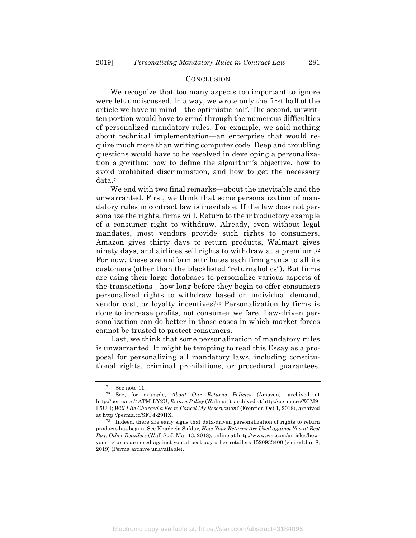#### **CONCLUSION**

We recognize that too many aspects too important to ignore were left undiscussed. In a way, we wrote only the first half of the article we have in mind—the optimistic half. The second, unwritten portion would have to grind through the numerous difficulties of personalized mandatory rules. For example, we said nothing about technical implementation—an enterprise that would require much more than writing computer code. Deep and troubling questions would have to be resolved in developing a personalization algorithm: how to define the algorithm's objective, how to avoid prohibited discrimination, and how to get the necessary data.71

We end with two final remarks—about the inevitable and the unwarranted. First, we think that some personalization of mandatory rules in contract law is inevitable. If the law does not personalize the rights, firms will. Return to the introductory example of a consumer right to withdraw. Already, even without legal mandates, most vendors provide such rights to consumers. Amazon gives thirty days to return products, Walmart gives ninety days, and airlines sell rights to withdraw at a premium.72 For now, these are uniform attributes each firm grants to all its customers (other than the blacklisted "returnaholics"). But firms are using their large databases to personalize various aspects of the transactions—how long before they begin to offer consumers personalized rights to withdraw based on individual demand, vendor cost, or loyalty incentives?73 Personalization by firms is done to increase profits, not consumer welfare. Law-driven personalization can do better in those cases in which market forces cannot be trusted to protect consumers.

Last, we think that some personalization of mandatory rules is unwarranted. It might be tempting to read this Essay as a proposal for personalizing all mandatory laws, including constitutional rights, criminal prohibitions, or procedural guarantees.

<sup>71</sup> See note 11.

<sup>72</sup> See, for example, *About Our Returns Policies* (Amazon), archived at http://perma.cc/4ATM-LY2U; *Return Policy* (Walmart), archived at http://perma.cc/XCM9- L5UH; *Will I Be Charged a Fee to Cancel My Reservation?* (Frontier, Oct 1, 2018), archived at http://perma.cc/SFF4-29HX.

<sup>73</sup> Indeed, there are early signs that data-driven personalization of rights to return products has begun. See Khadeeja Safdar, *How Your Returns Are Used against You at Best Buy, Other Retailers* (Wall St J, Mar 13, 2018), online at http://www.wsj.com/articles/howyour-returns-are-used-against-you-at-best-buy-other-retailers-1520933400 (visited Jan 8, 2019) (Perma archive unavailable).